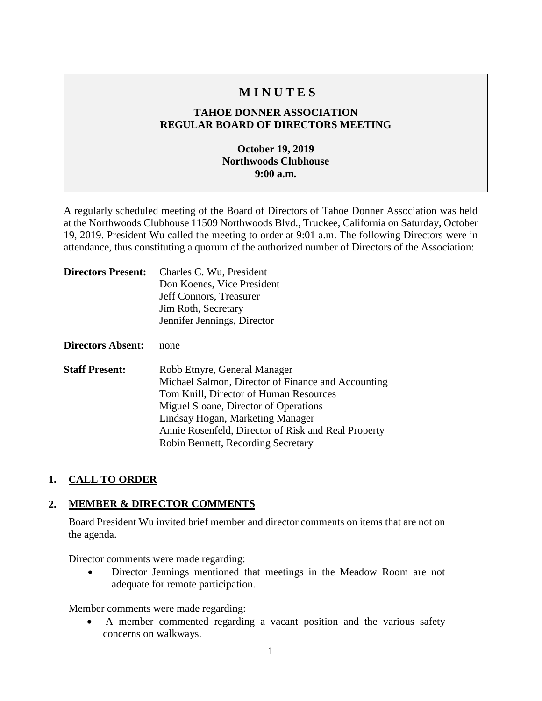## **M I N U T E S**

## **TAHOE DONNER ASSOCIATION REGULAR BOARD OF DIRECTORS MEETING**

## **October 19, 2019 Northwoods Clubhouse 9:00 a.m.**

A regularly scheduled meeting of the Board of Directors of Tahoe Donner Association was held at the Northwoods Clubhouse 11509 Northwoods Blvd., Truckee, California on Saturday, October 19, 2019. President Wu called the meeting to order at 9:01 a.m. The following Directors were in attendance, thus constituting a quorum of the authorized number of Directors of the Association:

| <b>Directors Present:</b> | Charles C. Wu, President                            |
|---------------------------|-----------------------------------------------------|
|                           | Don Koenes, Vice President                          |
|                           | Jeff Connors, Treasurer                             |
|                           | Jim Roth, Secretary                                 |
|                           | Jennifer Jennings, Director                         |
| <b>Directors Absent:</b>  | none                                                |
| <b>Staff Present:</b>     | Robb Etnyre, General Manager                        |
|                           | Michael Salmon, Director of Finance and Accounting  |
|                           | Tom Knill, Director of Human Resources              |
|                           | Miguel Sloane, Director of Operations               |
|                           | Lindsay Hogan, Marketing Manager                    |
|                           | Annie Rosenfeld, Director of Risk and Real Property |
|                           | Robin Bennett, Recording Secretary                  |

## **1. CALL TO ORDER**

## **2. MEMBER & DIRECTOR COMMENTS**

Board President Wu invited brief member and director comments on items that are not on the agenda.

Director comments were made regarding:

• Director Jennings mentioned that meetings in the Meadow Room are not adequate for remote participation.

Member comments were made regarding:

• A member commented regarding a vacant position and the various safety concerns on walkways.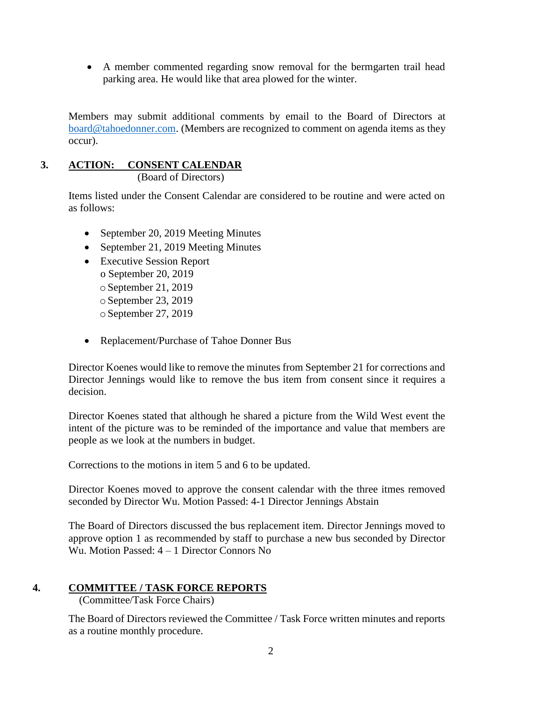• A member commented regarding snow removal for the bermgarten trail head parking area. He would like that area plowed for the winter.

Members may submit additional comments by email to the Board of Directors at [board@tahoedonner.com.](mailto:board@tahoedonner.com) (Members are recognized to comment on agenda items as they occur).

# **3. ACTION: CONSENT CALENDAR**

(Board of Directors)

Items listed under the Consent Calendar are considered to be routine and were acted on as follows:

- September 20, 2019 Meeting Minutes
- September 21, 2019 Meeting Minutes
- Executive Session Report o September 20, 2019 oSeptember 21, 2019  $\circ$  September 23, 2019  $\circ$  September 27, 2019
- Replacement/Purchase of Tahoe Donner Bus

Director Koenes would like to remove the minutes from September 21 for corrections and Director Jennings would like to remove the bus item from consent since it requires a decision.

Director Koenes stated that although he shared a picture from the Wild West event the intent of the picture was to be reminded of the importance and value that members are people as we look at the numbers in budget.

Corrections to the motions in item 5 and 6 to be updated.

Director Koenes moved to approve the consent calendar with the three itmes removed seconded by Director Wu. Motion Passed: 4-1 Director Jennings Abstain

The Board of Directors discussed the bus replacement item. Director Jennings moved to approve option 1 as recommended by staff to purchase a new bus seconded by Director Wu. Motion Passed: 4 – 1 Director Connors No

## **4. COMMITTEE / TASK FORCE REPORTS**

(Committee/Task Force Chairs)

The Board of Directors reviewed the Committee / Task Force written minutes and reports as a routine monthly procedure.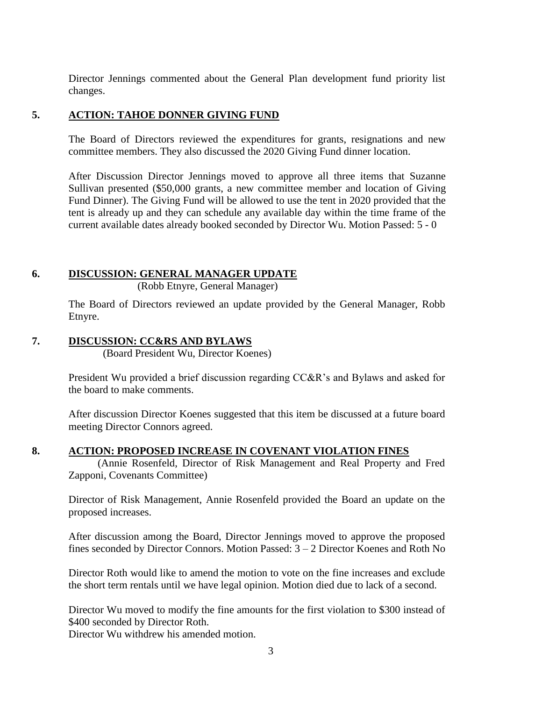Director Jennings commented about the General Plan development fund priority list changes.

#### **5. ACTION: TAHOE DONNER GIVING FUND**

The Board of Directors reviewed the expenditures for grants, resignations and new committee members. They also discussed the 2020 Giving Fund dinner location.

After Discussion Director Jennings moved to approve all three items that Suzanne Sullivan presented (\$50,000 grants, a new committee member and location of Giving Fund Dinner). The Giving Fund will be allowed to use the tent in 2020 provided that the tent is already up and they can schedule any available day within the time frame of the current available dates already booked seconded by Director Wu. Motion Passed: 5 - 0

## **6. DISCUSSION: GENERAL MANAGER UPDATE**

(Robb Etnyre, General Manager)

The Board of Directors reviewed an update provided by the General Manager, Robb Etnyre.

## **7. DISCUSSION: CC&RS AND BYLAWS**

(Board President Wu, Director Koenes)

President Wu provided a brief discussion regarding CC&R's and Bylaws and asked for the board to make comments.

After discussion Director Koenes suggested that this item be discussed at a future board meeting Director Connors agreed.

**8. ACTION: PROPOSED INCREASE IN COVENANT VIOLATION FINES**

(Annie Rosenfeld, Director of Risk Management and Real Property and Fred Zapponi, Covenants Committee)

Director of Risk Management, Annie Rosenfeld provided the Board an update on the proposed increases.

After discussion among the Board, Director Jennings moved to approve the proposed fines seconded by Director Connors. Motion Passed: 3 – 2 Director Koenes and Roth No

Director Roth would like to amend the motion to vote on the fine increases and exclude the short term rentals until we have legal opinion. Motion died due to lack of a second.

Director Wu moved to modify the fine amounts for the first violation to \$300 instead of \$400 seconded by Director Roth.

Director Wu withdrew his amended motion.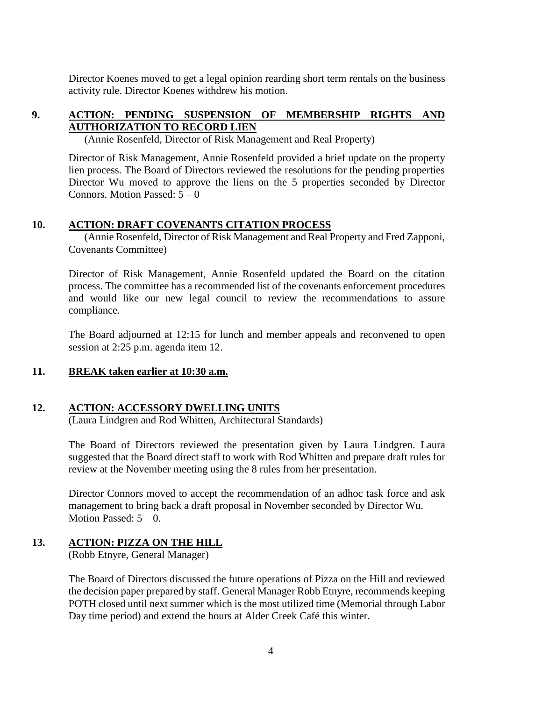Director Koenes moved to get a legal opinion rearding short term rentals on the business activity rule. Director Koenes withdrew his motion.

## **9. ACTION: PENDING SUSPENSION OF MEMBERSHIP RIGHTS AND AUTHORIZATION TO RECORD LIEN**

(Annie Rosenfeld, Director of Risk Management and Real Property)

Director of Risk Management, Annie Rosenfeld provided a brief update on the property lien process. The Board of Directors reviewed the resolutions for the pending properties Director Wu moved to approve the liens on the 5 properties seconded by Director Connors. Motion Passed:  $5 - 0$ 

#### **10. ACTION: DRAFT COVENANTS CITATION PROCESS**

 (Annie Rosenfeld, Director of Risk Management and Real Property and Fred Zapponi, Covenants Committee)

Director of Risk Management, Annie Rosenfeld updated the Board on the citation process. The committee has a recommended list of the covenants enforcement procedures and would like our new legal council to review the recommendations to assure compliance.

The Board adjourned at 12:15 for lunch and member appeals and reconvened to open session at 2:25 p.m. agenda item 12.

#### **11. BREAK taken earlier at 10:30 a.m.**

#### **12. ACTION: ACCESSORY DWELLING UNITS**

(Laura Lindgren and Rod Whitten, Architectural Standards)

The Board of Directors reviewed the presentation given by Laura Lindgren. Laura suggested that the Board direct staff to work with Rod Whitten and prepare draft rules for review at the November meeting using the 8 rules from her presentation.

Director Connors moved to accept the recommendation of an adhoc task force and ask management to bring back a draft proposal in November seconded by Director Wu. Motion Passed:  $5 - 0$ .

## **13. ACTION: PIZZA ON THE HILL**

(Robb Etnyre, General Manager)

The Board of Directors discussed the future operations of Pizza on the Hill and reviewed the decision paper prepared by staff. General Manager Robb Etnyre, recommends keeping POTH closed until next summer which is the most utilized time (Memorial through Labor Day time period) and extend the hours at Alder Creek Café this winter.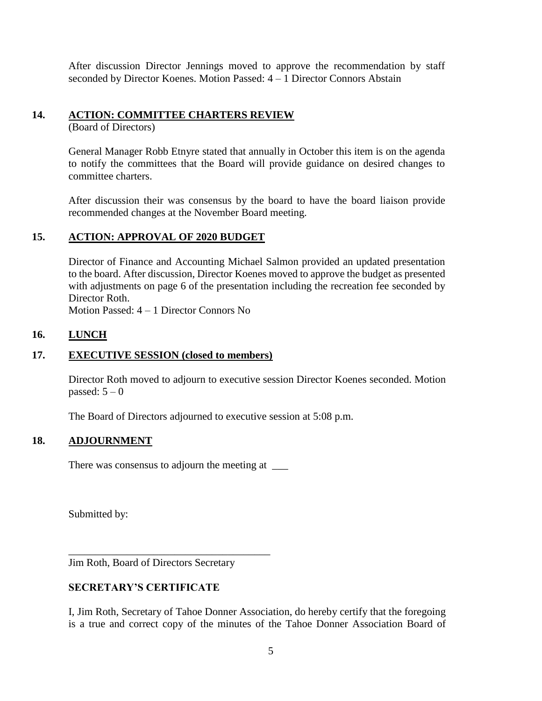After discussion Director Jennings moved to approve the recommendation by staff seconded by Director Koenes. Motion Passed: 4 – 1 Director Connors Abstain

## **14. ACTION: COMMITTEE CHARTERS REVIEW**

(Board of Directors)

General Manager Robb Etnyre stated that annually in October this item is on the agenda to notify the committees that the Board will provide guidance on desired changes to committee charters.

After discussion their was consensus by the board to have the board liaison provide recommended changes at the November Board meeting.

## **15. ACTION: APPROVAL OF 2020 BUDGET**

Director of Finance and Accounting Michael Salmon provided an updated presentation to the board. After discussion, Director Koenes moved to approve the budget as presented with adjustments on page 6 of the presentation including the recreation fee seconded by Director Roth.

Motion Passed: 4 – 1 Director Connors No

#### **16. LUNCH**

## **17. EXECUTIVE SESSION (closed to members)**

Director Roth moved to adjourn to executive session Director Koenes seconded. Motion passed:  $5-0$ 

The Board of Directors adjourned to executive session at 5:08 p.m.

## **18. ADJOURNMENT**

There was consensus to adjourn the meeting at \_\_\_\_\_

Submitted by:

Jim Roth, Board of Directors Secretary

\_\_\_\_\_\_\_\_\_\_\_\_\_\_\_\_\_\_\_\_\_\_\_\_\_\_\_\_\_\_\_\_\_\_\_\_\_\_

## **SECRETARY'S CERTIFICATE**

I, Jim Roth, Secretary of Tahoe Donner Association, do hereby certify that the foregoing is a true and correct copy of the minutes of the Tahoe Donner Association Board of